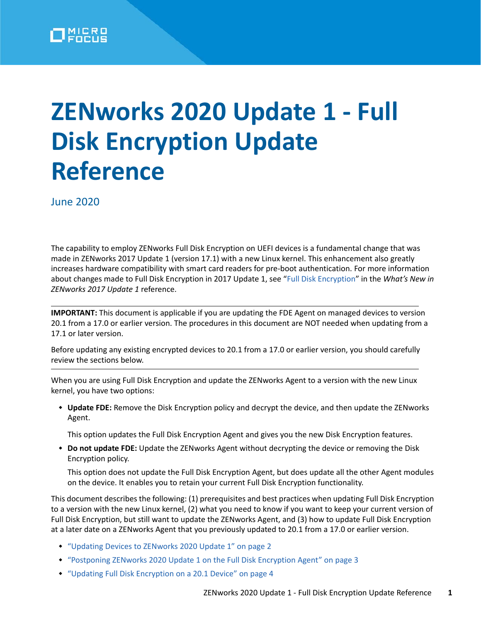

# **ZENworks 2020 Update 1 - Full Disk Encryption Update Reference**

June 2020

The capability to employ ZENworks Full Disk Encryption on UEFI devices is a fundamental change that was made in ZENworks 2017 Update 1 (version 17.1) with a new Linux kernel. This enhancement also greatly increases hardware compatibility with smart card readers for pre-boot authentication. For more information about changes made to Full Disk Encryption in 2017 Update 1, see ["Full Disk Encryption"](https://www.novell.com/documentation/zenworks-2017-update-1/zen_whats_new/data/t434nw77zhsu.html#t434nw77zhsu) in the *What's New in ZENworks 2017 Update 1* reference.

**IMPORTANT:** This document is applicable if you are updating the FDE Agent on managed devices to version 20.1 from a 17.0 or earlier version. The procedures in this document are NOT needed when updating from a 17.1 or later version.

Before updating any existing encrypted devices to 20.1 from a 17.0 or earlier version, you should carefully review the sections below.

When you are using Full Disk Encryption and update the ZENworks Agent to a version with the new Linux kernel, you have two options:

 **Update FDE:** Remove the Disk Encryption policy and decrypt the device, and then update the ZENworks Agent.

This option updates the Full Disk Encryption Agent and gives you the new Disk Encryption features.

 **Do not update FDE:** Update the ZENworks Agent without decrypting the device or removing the Disk Encryption policy.

This option does not update the Full Disk Encryption Agent, but does update all the other Agent modules on the device. It enables you to retain your current Full Disk Encryption functionality.

This document describes the following: (1) prerequisites and best practices when updating Full Disk Encryption to a version with the new Linux kernel, (2) what you need to know if you want to keep your current version of Full Disk Encryption, but still want to update the ZENworks Agent, and (3) how to update Full Disk Encryption at a later date on a ZENworks Agent that you previously updated to 20.1 from a 17.0 or earlier version.

- ["Updating Devices to ZENworks 2020 Update 1" on page 2](#page-1-0)
- ["Postponing ZENworks 2020 Update 1 on the Full Disk Encryption Agent" on page 3](#page-2-0)
- ["Updating Full Disk Encryption on a 20.1 Device" on page 4](#page-3-0)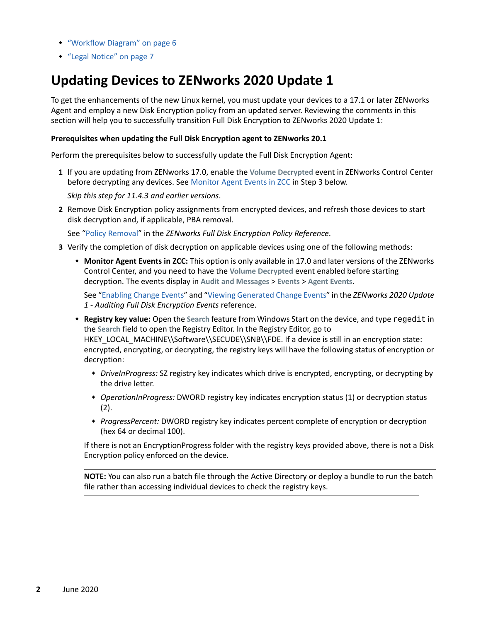- ["Workflow Diagram" on page 6](#page-5-0)
- ["Legal Notice" on page 7](#page-6-0)

## <span id="page-1-0"></span>**Updating Devices to ZENworks 2020 Update 1**

To get the enhancements of the new Linux kernel, you must update your devices to a 17.1 or later ZENworks Agent and employ a new Disk Encryption policy from an updated server. Reviewing the comments in this section will help you to successfully transition Full Disk Encryption to ZENworks 2020 Update 1:

#### **Prerequisites when updating the Full Disk Encryption agent to ZENworks 20.1**

Perform the prerequisites below to successfully update the Full Disk Encryption Agent:

**1** If you are updating from ZENworks 17.0, enable the **Volume Decrypted** event in ZENworks Control Center before decrypting any devices. See Monitor Agent Events in ZCC in Step 3 below.

*Skip this step for 11.4.3 and earlier versions*.

**2** Remove Disk Encryption policy assignments from encrypted devices, and refresh those devices to start disk decryption and, if applicable, PBA removal.

See ["Policy Removal](https://www.novell.com/documentation/zenworks-2020/pdfdoc/zen_fde_policies/zen_fde_policies.pdf#bpoav25)" in the *ZENworks Full Disk Encryption Policy Reference*.

- **3** Verify the completion of disk decryption on applicable devices using one of the following methods:
	- **Monitor Agent Events in ZCC:** This option is only available in 17.0 and later versions of the ZENworks Control Center, and you need to have the **Volume Decrypted** event enabled before starting decryption. The events display in **Audit and Messages** > **Events** > **Agent Events**.

See "[Enabling Change Events](https://www.novell.com/documentation/zenworks-2020/pdfdoc/zen_fde_audit/zen_fde_audit.pdf#b1962dh1)" and ["Viewing Generated Change Events"](https://www.novell.com/documentation/zenworks-2020/pdfdoc/zen_fde_audit/zen_fde_audit.pdf#b1962dh7) in the *ZENworks 2020 Update 1 - Auditing Full Disk Encryption Events* reference.

- **Registry key value:** Open the **Search** feature from Windows Start on the device, and type regedit in the **Search** field to open the Registry Editor. In the Registry Editor, go to HKEY\_LOCAL\_MACHINE\\Software\\SECUDE\\SNB\\FDE. If a device is still in an encryption state: encrypted, encrypting, or decrypting, the registry keys will have the following status of encryption or decryption:
	- *DriveInProgress:* SZ registry key indicates which drive is encrypted, encrypting, or decrypting by the drive letter.
	- *OperationInProgress:* DWORD registry key indicates encryption status (1) or decryption status  $(2).$
	- *ProgressPercent:* DWORD registry key indicates percent complete of encryption or decryption (hex 64 or decimal 100).

If there is not an EncryptionProgress folder with the registry keys provided above, there is not a Disk Encryption policy enforced on the device.

**NOTE:** You can also run a batch file through the Active Directory or deploy a bundle to run the batch file rather than accessing individual devices to check the registry keys.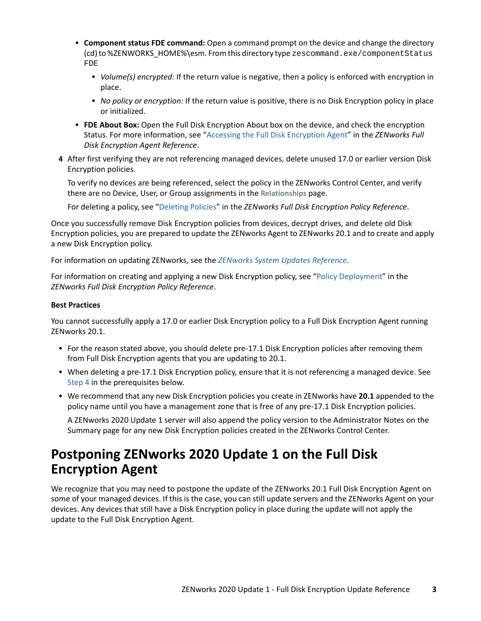- **Component status FDE command:** Open a command prompt on the device and change the directory (cd) to %ZENWORKS\_HOME%\esm. From this directory type zescommand.exe/componentStatus FDE
	- *Volume(s) encrypted:* If the return value is negative, then a policy is enforced with encryption in place.
	- *No policy or encryption:* If the return value is positive, there is no Disk Encryption policy in place or initialized.
- **FDE About Box:** Open the Full Disk Encryption About box on the device, and check the encryption Status. For more information, see ["Accessing the Full Disk Encryption Agent"](https://www.novell.com/documentation/zenworks-2020/pdfdoc/zen_fde_agent/zen_fde_agent.pdf#t424d8qrs1x3) in the *ZENworks Full Disk Encryption Agent Reference*.
- <span id="page-2-1"></span>**4** After first verifying they are not referencing managed devices, delete unused 17.0 or earlier version Disk Encryption policies.

To verify no devices are being referenced, select the policy in the ZENworks Control Center, and verify there are no Device, User, or Group assignments in the **Relationships** page.

For deleting a policy, see "[Deleting Policies"](https://www.novell.com/documentation/zenworks-2020/pdfdoc/zen_fde_policies/zen_fde_policies.pdf#bokpjf6) in the *ZENworks Full Disk Encryption Policy Reference*.

Once you successfully remove Disk Encryption policies from devices, decrypt drives, and delete old Disk Encryption policies, you are prepared to update the ZENworks Agent to ZENworks 20.1 and to create and apply a new Disk Encryption policy.

For information on updating ZENworks, see the *[ZENworks System Updates Reference](https://www.novell.com/documentation/zenworks-2020/pdfdoc/zen_sys_updates/zen_sys_updates.pdf#bookinfo)*.

For information on creating and applying a new Disk Encryption policy, see ["Policy Deployment"](https://www.novell.com/documentation/zenworks-2020/pdfdoc/zen_fde_policies/zen_fde_policies.pdf#bnj4sa4) in the *ZENworks Full Disk Encryption Policy Reference*.

#### **Best Practices**

You cannot successfully apply a 17.0 or earlier Disk Encryption policy to a Full Disk Encryption Agent running ZENworks 20.1.

- For the reason stated above, you should delete pre-17.1 Disk Encryption policies after removing them from Full Disk Encryption agents that you are updating to 20.1.
- When deleting a pre-17.1 Disk Encryption policy, ensure that it is not referencing a managed device. See [Step 4](#page-2-1) in the prerequisites below.
- We recommend that any new Disk Encryption policies you create in ZENworks have **20.1** appended to the policy name until you have a management zone that is free of any pre-17.1 Disk Encryption policies.

A ZENworks 2020 Update 1 server will also append the policy version to the Administrator Notes on the Summary page for any new Disk Encryption policies created in the ZENworks Control Center.

## <span id="page-2-0"></span>**Postponing ZENworks 2020 Update 1 on the Full Disk Encryption Agent**

We recognize that you may need to postpone the update of the ZENworks 20.1 Full Disk Encryption Agent on some of your managed devices. If this is the case, you can still update servers and the ZENworks Agent on your devices. Any devices that still have a Disk Encryption policy in place during the update will not apply the update to the Full Disk Encryption Agent.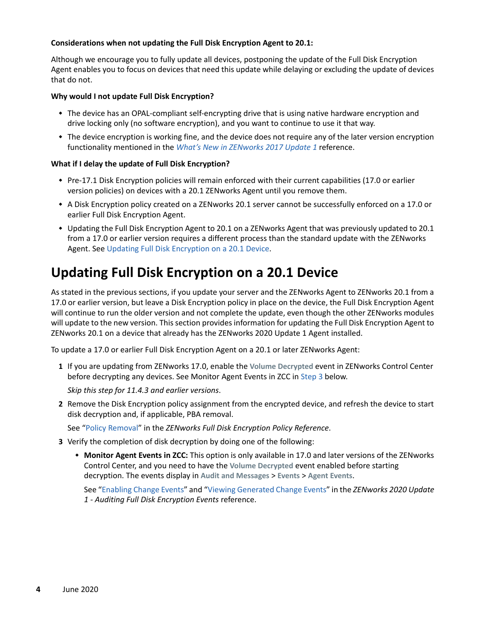#### **Considerations when not updating the Full Disk Encryption Agent to 20.1:**

Although we encourage you to fully update all devices, postponing the update of the Full Disk Encryption Agent enables you to focus on devices that need this update while delaying or excluding the update of devices that do not.

#### **Why would I not update Full Disk Encryption?**

- The device has an OPAL-compliant self-encrypting drive that is using native hardware encryption and drive locking only (no software encryption), and you want to continue to use it that way.
- The device encryption is working fine, and the device does not require any of the later version encryption functionality mentioned in the *[What's New in ZENworks 2017 Update 1](https://www.novell.com/documentation/zenworks-2017-update-1/zen_whats_new/data/t434nw77zhsu.html)* reference.

#### **What if I delay the update of Full Disk Encryption?**

- Pre-17.1 Disk Encryption policies will remain enforced with their current capabilities (17.0 or earlier version policies) on devices with a 20.1 ZENworks Agent until you remove them.
- A Disk Encryption policy created on a ZENworks 20.1 server cannot be successfully enforced on a 17.0 or earlier Full Disk Encryption Agent.
- Updating the Full Disk Encryption Agent to 20.1 on a ZENworks Agent that was previously updated to 20.1 from a 17.0 or earlier version requires a different process than the standard update with the ZENworks Agent. See [Updating Full Disk Encryption on a 20.1 Device.](#page-3-0)

### <span id="page-3-0"></span>**Updating Full Disk Encryption on a 20.1 Device**

As stated in the previous sections, if you update your server and the ZENworks Agent to ZENworks 20.1 from a 17.0 or earlier version, but leave a Disk Encryption policy in place on the device, the Full Disk Encryption Agent will continue to run the older version and not complete the update, even though the other ZENworks modules will update to the new version. This section provides information for updating the Full Disk Encryption Agent to ZENworks 20.1 on a device that already has the ZENworks 2020 Update 1 Agent installed.

To update a 17.0 or earlier Full Disk Encryption Agent on a 20.1 or later ZENworks Agent:

**1** If you are updating from ZENworks 17.0, enable the **Volume Decrypted** event in ZENworks Control Center before decrypting any devices. See Monitor Agent Events in ZCC in [Step 3](#page-3-1) below.

*Skip this step for 11.4.3 and earlier versions*.

**2** Remove the Disk Encryption policy assignment from the encrypted device, and refresh the device to start disk decryption and, if applicable, PBA removal.

See ["Policy Removal](https://www.novell.com/documentation/zenworks-2020/pdfdoc/zen_fde_policies/zen_fde_policies.pdf#bpoav25)" in the *ZENworks Full Disk Encryption Policy Reference*.

- <span id="page-3-1"></span>**3** Verify the completion of disk decryption by doing one of the following:
	- **Monitor Agent Events in ZCC:** This option is only available in 17.0 and later versions of the ZENworks Control Center, and you need to have the **Volume Decrypted** event enabled before starting decryption. The events display in **Audit and Messages** > **Events** > **Agent Events**.

See "Enabling Change Events" and "Viewing Generated Change Events" in the *ZENworks 2020 Update 1 - Auditing Full Disk Encryption Events* reference.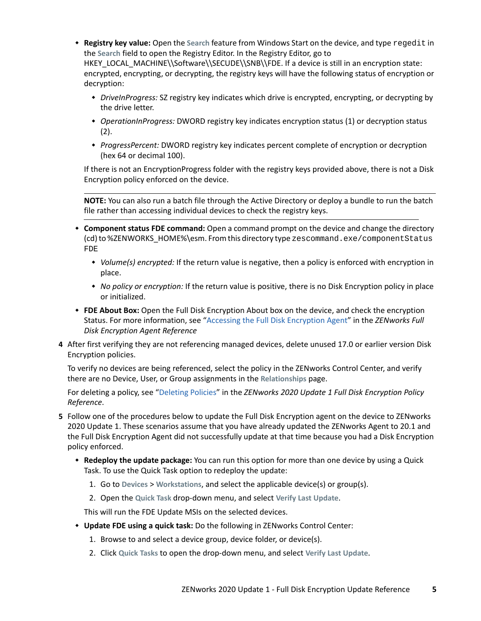- **Registry key value:** Open the **Search** feature from Windows Start on the device, and type regedit in the **Search** field to open the Registry Editor. In the Registry Editor, go to HKEY\_LOCAL\_MACHINE\\Software\\SECUDE\\SNB\\FDE. If a device is still in an encryption state: encrypted, encrypting, or decrypting, the registry keys will have the following status of encryption or decryption:
	- *DriveInProgress:* SZ registry key indicates which drive is encrypted, encrypting, or decrypting by the drive letter.
	- *OperationInProgress:* DWORD registry key indicates encryption status (1) or decryption status  $(2).$
	- *ProgressPercent:* DWORD registry key indicates percent complete of encryption or decryption (hex 64 or decimal 100).

If there is not an EncryptionProgress folder with the registry keys provided above, there is not a Disk Encryption policy enforced on the device.

**NOTE:** You can also run a batch file through the Active Directory or deploy a bundle to run the batch file rather than accessing individual devices to check the registry keys.

- **Component status FDE command:** Open a command prompt on the device and change the directory (cd) to %ZENWORKS\_HOME%\esm. From this directory type zescommand.exe/componentStatus FDE
	- *Volume(s) encrypted:* If the return value is negative, then a policy is enforced with encryption in place.
	- *No policy or encryption:* If the return value is positive, there is no Disk Encryption policy in place or initialized.
- **FDE About Box:** Open the Full Disk Encryption About box on the device, and check the encryption Status. For more information, see "Accessing the Full Disk Encryption Agent" in the *ZENworks Full Disk Encryption Agent Reference*
- **4** After first verifying they are not referencing managed devices, delete unused 17.0 or earlier version Disk Encryption policies.

To verify no devices are being referenced, select the policy in the ZENworks Control Center, and verify there are no Device, User, or Group assignments in the **Relationships** page.

For deleting a policy, see "[Deleting Policies"](https://www.novell.com/documentation/zenworks-2020/pdfdoc/zen_fde_policies/zen_fde_policies.pdf#bokpjf6) in the *ZENworks 2020 Update 1 Full Disk Encryption Policy Reference*.

- **5** Follow one of the procedures below to update the Full Disk Encryption agent on the device to ZENworks 2020 Update 1. These scenarios assume that you have already updated the ZENworks Agent to 20.1 and the Full Disk Encryption Agent did not successfully update at that time because you had a Disk Encryption policy enforced.
	- **Redeploy the update package:** You can run this option for more than one device by using a Quick Task. To use the Quick Task option to redeploy the update:
		- 1. Go to **Devices** > **Workstations**, and select the applicable device(s) or group(s).
		- 2. Open the **Quick Task** drop-down menu, and select **Verify Last Update**.

This will run the FDE Update MSIs on the selected devices.

- **Update FDE using a quick task:** Do the following in ZENworks Control Center:
	- 1. Browse to and select a device group, device folder, or device(s).
	- 2. Click **Quick Tasks** to open the drop-down menu, and select **Verify Last Update**.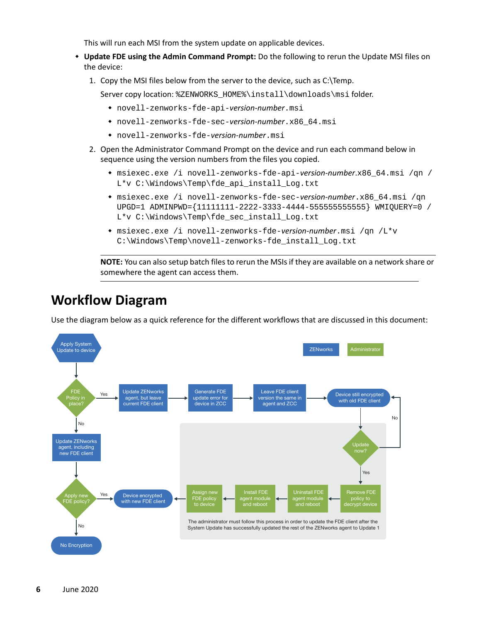This will run each MSI from the system update on applicable devices.

- **Update FDE using the Admin Command Prompt:** Do the following to rerun the Update MSI files on the device:
	- 1. Copy the MSI files below from the server to the device, such as C:\Temp.

Server copy location: %ZENWORKS\_HOME%\install\downloads\msi folder.

- novell-zenworks-fde-api-*version-number*.msi
- novell-zenworks-fde-sec-*version-number*.x86\_64.msi
- novell-zenworks-fde-*version-number*.msi
- 2. Open the Administrator Command Prompt on the device and run each command below in sequence using the version numbers from the files you copied.
	- msiexec.exe /i novell-zenworks-fde-api-*version-number*.x86\_64.msi /qn / L\*v C:\Windows\Temp\fde\_api\_install\_Log.txt
	- msiexec.exe /i novell-zenworks-fde-sec-*version-number*.x86\_64.msi /qn UPGD=1 ADMINPWD={11111111-2222-3333-4444-555555555555} WMIQUERY=0 / L\*v C:\Windows\Temp\fde\_sec\_install\_Log.txt
	- msiexec.exe /i novell-zenworks-fde-*version-number*.msi /qn /L\*v C:\Windows\Temp\novell-zenworks-fde\_install\_Log.txt

**NOTE:** You can also setup batch files to rerun the MSIs if they are available on a network share or somewhere the agent can access them.

## <span id="page-5-0"></span>**Workflow Diagram**

Use the diagram below as a quick reference for the different workflows that are discussed in this document: